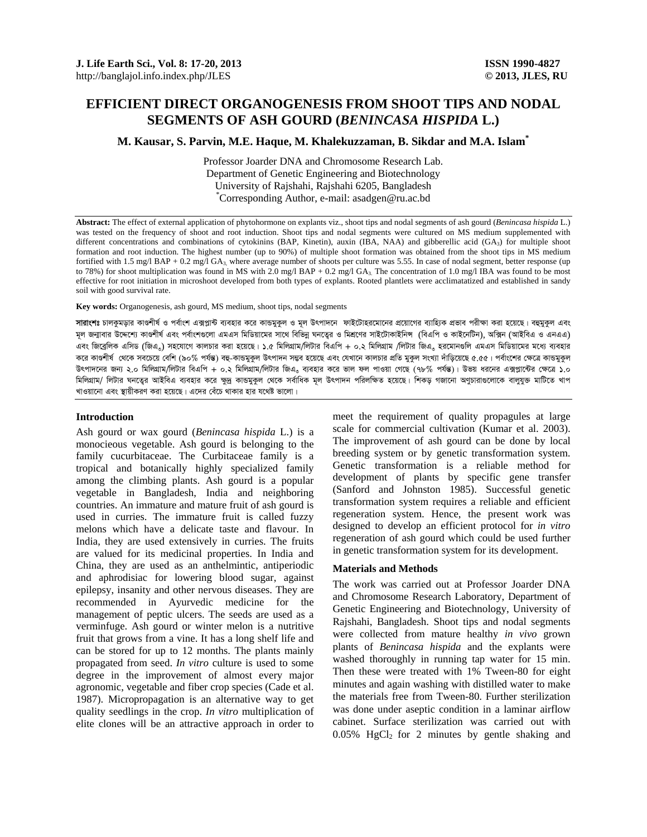# **EFFICIENT DIRECT ORGANOGENESIS FROM SHOOT TIPS AND NODAL SEGMENTS OF ASH GOURD (***BENINCASA HISPIDA* **L.)**

**M. Kausar, S. Parvin, M.E. Haque, M. Khalekuzzaman, B. Sikdar and M.A. Islam\***

Professor Joarder DNA and Chromosome Research Lab. Department of Genetic Engineering and Biotechnology University of Rajshahi, Rajshahi 6205, Bangladesh \* Corresponding Author, e-mail: asadgen@ru.ac.bd

**Abstract:** The effect of external application of phytohormone on explants viz., shoot tips and nodal segments of ash gourd (*Benincasa hispida* L.) was tested on the frequency of shoot and root induction. Shoot tips and nodal segments were cultured on MS medium supplemented with different concentrations and combinations of cytokinins (BAP, Kinetin), auxin (IBA, NAA) and gibberellic acid (GA<sub>3</sub>) for multiple shoot formation and root induction. The highest number (up to 90%) of multiple shoot formation was obtained from the shoot tips in MS medium fortified with 1.5 mg/l BAP + 0.2 mg/l GA<sub>3</sub>, where average number of shoots per culture was 5.55. In case of nodal segment, better response (up to 78%) for shoot multiplication was found in MS with 2.0 mg/l BAP + 0.2 mg/l GA<sub>3</sub>. The concentration of 1.0 mg/l IBA was found to be most effective for root initiation in microshoot developed from both types of explants. Rooted plantlets were acclimatatized and established in sandy soil with good survival rate.

**Key words:** Organogenesis, ash gourd, MS medium, shoot tips, nodal segments

**সারাংশঃ** চালকুমড়ার কাণ্ডশীর্ষ ও পর্বাংশ এক্সপ্লাকী ব্যবহার করে কান্ডযুকল ও মূল উৎপাদনে ফাইটোহরমোনের প্রয়োগের ব্যাহ্যিক প্রভাব পরীক্ষা করা হয়েছে। বহুমুকুল এবং মল জন্মাবার উদ্দেশ্যে কাণ্ডশীর্ষ এবং পর্বাংশগুলো এমএস মিডিয়ামের সাথে বিভিন্ন ঘনতের ও মিশ্রদের রাইটাক্স (বিএপি ও কাইনেটিন), অক্সিন (আইবিএ ও এনএএ) এবং জিবেলিক এসিড (জিএ.) সহযোগে কালচার করা হয়েছে। ১.৫ মিলিগ্রাম/লিটার বিএপি + ০.২ মিলিগ্রাম /লিটার জিএ. হরমোনগুলি এমএস মিডিয়ামের মধ্যে ব্যবহার করে কাণ্ডশীর্ষ খেকে সবচেয়ে বেশি (৯০% পর্যন্ত) বহু-কাভমকল উৎপাদন সম্ভব হয়েছে এবং যেখনে কালচার প্রতি মকল সংখ্যা দাঁডিয়েছে ৫.৫৫। পর্বাংশের ক্ষেত্রে কাভমকল উৎপাদনের জন্য ২.০ মিলিগ্রাম/লিটার বিএপি + ০.২ মিলিগ্রাম/লিটার জিএ, ব্যবহার করে ভাল ফল পাওয়া গেছে (৭৮% পর্যন্ত)। উভয় ধরনের এক্সপ্লাটের ক্ষেত্রে ১.০ মিলিগ্রাম/ লিটার ঘনতের আইবিএ ব্যবহার করে ক্ষদ্র কান্ডমুকল থেকে সর্বাধিক মূল উৎপাদন পরিলক্ষিত হয়েছে। শিকড গজানো অণুচারাগুলোকে বালুযুক্ত মাটিতে খাপ খাওয়ানো এবং স্থায়ীকরণ করা হয়েছে। এদের বেঁচে থাকার হার যথেষ্ট ভালো।

## **Introduction**

Ash gourd or wax gourd (*Benincasa hispida* L.) is a monocieous vegetable. Ash gourd is belonging to the family cucurbitaceae. The Curbitaceae family is a tropical and botanically highly specialized family among the climbing plants. Ash gourd is a popular vegetable in Bangladesh, India and neighboring countries. An immature and mature fruit of ash gourd is used in curries. The immature fruit is called fuzzy melons which have a delicate taste and flavour. In India, they are used extensively in curries. The fruits are valued for its medicinal properties. In India and China, they are used as an anthelmintic, antiperiodic and aphrodisiac for lowering blood sugar, against epilepsy, insanity and other nervous diseases. They are recommended in Ayurvedic medicine for the management of peptic ulcers. The seeds are used as a verminfuge. Ash gourd or winter melon is a nutritive fruit that grows from a vine. It has a long shelf life and can be stored for up to 12 months. The plants mainly propagated from seed. *In vitro* culture is used to some degree in the improvement of almost every major agronomic, vegetable and fiber crop species (Cade et al. 1987). Micropropagation is an alternative way to get quality seedlings in the crop. *In vitro* multiplication of elite clones will be an attractive approach in order to meet the requirement of quality propagules at large scale for commercial cultivation (Kumar et al. 2003). The improvement of ash gourd can be done by local breeding system or by genetic transformation system. Genetic transformation is a reliable method for development of plants by specific gene transfer (Sanford and Johnston 1985). Successful genetic transformation system requires a reliable and efficient regeneration system. Hence, the present work was designed to develop an efficient protocol for *in vitro*  regeneration of ash gourd which could be used further in genetic transformation system for its development.

### **Materials and Methods**

The work was carried out at Professor Joarder DNA and Chromosome Research Laboratory, Department of Genetic Engineering and Biotechnology, University of Rajshahi, Bangladesh. Shoot tips and nodal segments were collected from mature healthy *in vivo* grown plants of *Benincasa hispida* and the explants were washed thoroughly in running tap water for 15 min. Then these were treated with 1% Tween-80 for eight minutes and again washing with distilled water to make the materials free from Tween-80. Further sterilization was done under aseptic condition in a laminar airflow cabinet. Surface sterilization was carried out with  $0.05\%$  HgCl<sub>2</sub> for 2 minutes by gentle shaking and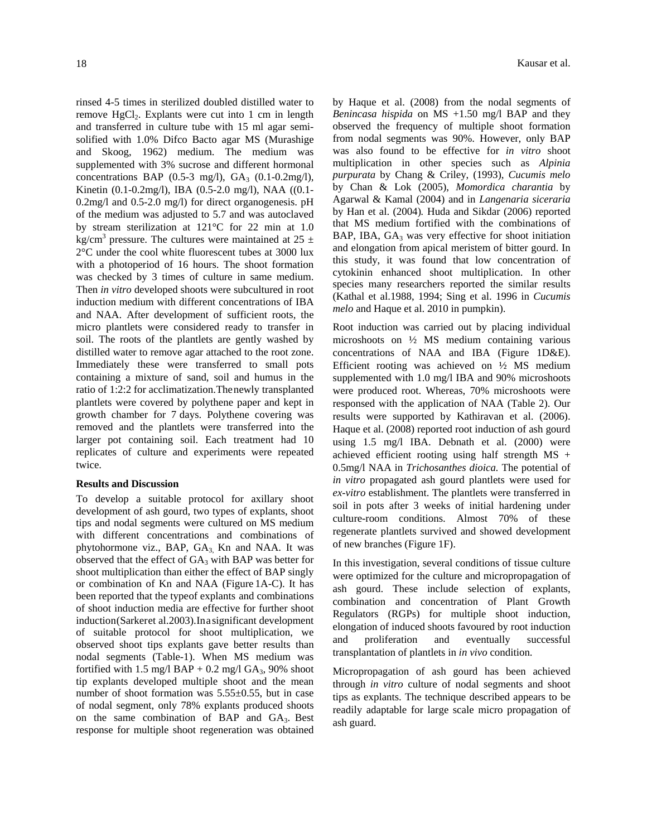rinsed 4-5 times in sterilized doubled distilled water to remove HgCl<sub>2</sub>. Explants were cut into 1 cm in length and transferred in culture tube with 15 ml agar semisolified with 1.0% Difco Bacto agar MS (Murashige and Skoog, 1962) medium. The medium was supplemented with 3% sucrose and different hormonal concentrations BAP  $(0.5-3 \text{ mg/l})$ ,  $GA_3$   $(0.1-0.2 \text{ mg/l})$ , Kinetin (0.1-0.2mg/l), IBA (0.5-2.0 mg/l), NAA ((0.1- 0.2mg/l and 0.5-2.0 mg/l) for direct organogenesis. pH of the medium was adjusted to 5.7 and was autoclaved by stream sterilization at 121°C for 22 min at 1.0 kg/cm<sup>3</sup> pressure. The cultures were maintained at 25  $\pm$ 2°C under the cool white fluorescent tubes at 3000 lux with a photoperiod of 16 hours. The shoot formation was checked by 3 times of culture in same medium. Then *in vitro* developed shoots were subcultured in root induction medium with different concentrations of IBA and NAA. After development of sufficient roots, the micro plantlets were considered ready to transfer in soil. The roots of the plantlets are gently washed by distilled water to remove agar attached to the root zone. Immediately these were transferred to small pots containing a mixture of sand, soil and humus in the ratio of 1:2:2 for acclimatization.Thenewly transplanted plantlets were covered by polythene paper and kept in growth chamber for 7 days. Polythene covering was removed and the plantlets were transferred into the larger pot containing soil. Each treatment had 10 replicates of culture and experiments were repeated twice.

## **Results and Discussion**

To develop a suitable protocol for axillary shoot development of ash gourd, two types of explants, shoot tips and nodal segments were cultured on MS medium with different concentrations and combinations of phytohormone viz., BAP, GA<sub>3</sub> Kn and NAA. It was observed that the effect of  $GA_3$  with BAP was better for shoot multiplication than either the effect of BAP singly or combination of Kn and NAA (Figure 1A-C). It has been reported that the typeof explants and combinations of shoot induction media are effective for further shoot induction(Sarkeret al.2003).Inasignificant development of suitable protocol for shoot multiplication, we observed shoot tips explants gave better results than nodal segments (Table-1). When MS medium was fortified with 1.5 mg/l BAP + 0.2 mg/l GA $_3$ , 90% shoot tip explants developed multiple shoot and the mean number of shoot formation was 5.55±0.55, but in case of nodal segment, only 78% explants produced shoots on the same combination of BAP and GA3. Best response for multiple shoot regeneration was obtained

by Haque et al. (2008) from the nodal segments of *Benincasa hispida* on MS +1.50 mg/l BAP and they observed the frequency of multiple shoot formation from nodal segments was 90%. However, only BAP was also found to be effective for *in vitro* shoot multiplication in other species such as *Alpinia purpurata* by Chang & Criley, (1993), *Cucumis melo* by Chan & Lok (2005), *Momordica charantia* by Agarwal & Kamal (2004) and in *Langenaria siceraria* by Han et al. (2004)*.* Huda and Sikdar (2006) reported that MS medium fortified with the combinations of BAP, IBA,  $GA_3$  was very effective for shoot initiation and elongation from apical meristem of bitter gourd. In this study, it was found that low concentration of cytokinin enhanced shoot multiplication. In other species many researchers reported the similar results (Kathal et al.1988, 1994; Sing et al. 1996 in *Cucumis melo* and Haque et al. 2010 in pumpkin).

Root induction was carried out by placing individual microshoots on ½ MS medium containing various concentrations of NAA and IBA (Figure 1D&E). Efficient rooting was achieved on ½ MS medium supplemented with 1.0 mg/l IBA and 90% microshoots were produced root. Whereas, 70% microshoots were responsed with the application of NAA (Table 2). Our results were supported by Kathiravan et al. (2006). Haque et al. (2008) reported root induction of ash gourd using 1.5 mg/l IBA. Debnath et al. (2000) were achieved efficient rooting using half strength MS + 0.5mg/l NAA in *Trichosanthes dioica.* The potential of *in vitro* propagated ash gourd plantlets were used for *ex-vitro* establishment. The plantlets were transferred in soil in pots after 3 weeks of initial hardening under culture-room conditions. Almost 70% of these regenerate plantlets survived and showed development of new branches (Figure 1F).

In this investigation, several conditions of tissue culture were optimized for the culture and micropropagation of ash gourd. These include selection of explants, combination and concentration of Plant Growth Regulators (RGPs) for multiple shoot induction, elongation of induced shoots favoured by root induction and proliferation and eventually successful transplantation of plantlets in *in vivo* condition.

Micropropagation of ash gourd has been achieved through *in vitro* culture of nodal segments and shoot tips as explants. The technique described appears to be readily adaptable for large scale micro propagation of ash guard.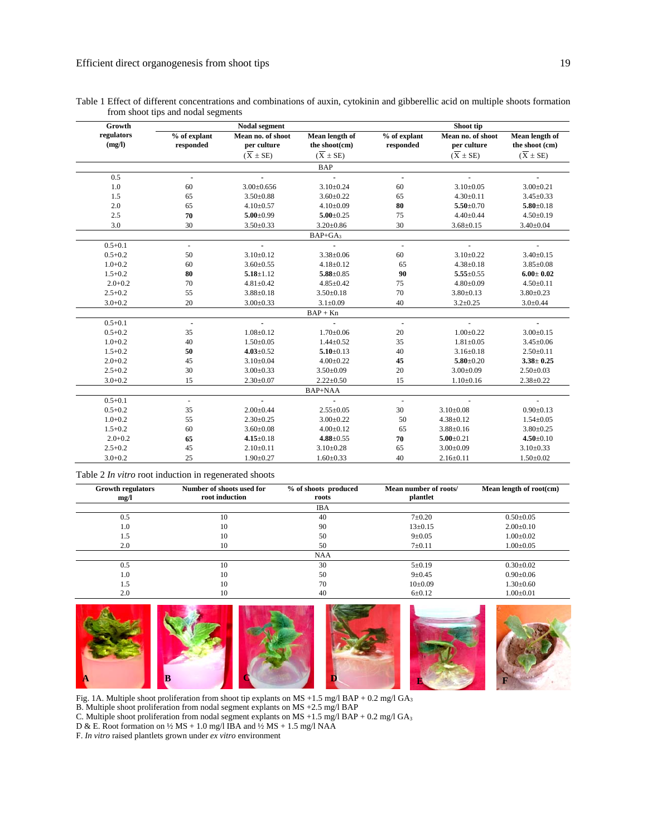| Growth               | <b>Nodal segment</b>      |                                  |                                 | Shoot tip                 |                                  |                                  |  |
|----------------------|---------------------------|----------------------------------|---------------------------------|---------------------------|----------------------------------|----------------------------------|--|
| regulators<br>(mg/l) | % of explant<br>responded | Mean no. of shoot<br>per culture | Mean length of<br>the shoot(cm) | % of explant<br>responded | Mean no. of shoot<br>per culture | Mean length of<br>the shoot (cm) |  |
|                      |                           | $(X \pm SE)$                     | $(X \pm SE)$                    |                           | $(X \pm SE)$                     | $(X \pm SE)$                     |  |
|                      |                           |                                  | <b>BAP</b>                      |                           |                                  |                                  |  |
| 0.5                  | $\blacksquare$            |                                  | $\blacksquare$                  | ä,                        |                                  |                                  |  |
| 1.0                  | 60                        | $3.00 \pm 0.656$                 | $3.10 \pm 0.24$                 | 60                        | $3.10 \pm 0.05$                  | $3.00 \pm 0.21$                  |  |
| 1.5                  | 65                        | $3.50 \pm 0.88$                  | $3.60 \pm 0.22$                 | 65                        | $4.30 \pm 0.11$                  | $3.45 \pm 0.33$                  |  |
| 2.0                  | 65                        | $4.10 \pm 0.57$                  | $4.10 \pm 0.09$                 | 80                        | $5.50 \pm 0.70$                  | $5.80 \pm 0.18$                  |  |
| 2.5                  | 70                        | $5.00 \pm 0.99$                  | $5.00 \pm 0.25$                 | 75                        | $4.40 \pm 0.44$                  | $4.50 \pm 0.19$                  |  |
| 3.0                  | 30                        | $3.50 \pm 0.33$                  | $3.20 \pm 0.86$                 | 30                        | $3.68 \pm 0.15$                  | $3.40 \pm 0.04$                  |  |
| $BAP+GA$             |                           |                                  |                                 |                           |                                  |                                  |  |
| $0.5 + 0.1$          | $\overline{\phantom{a}}$  | $\blacksquare$                   |                                 | $\overline{\phantom{a}}$  |                                  |                                  |  |
| $0.5 + 0.2$          | 50                        | $3.10\pm0.12$                    | $3.38 \pm 0.06$                 | 60                        | $3.10 \pm 0.22$                  | $3.40 \pm 0.15$                  |  |
| $1.0 + 0.2$          | 60                        | $3.60 \pm 0.55$                  | $4.18 \pm 0.12$                 | 65                        | $4.38 \pm 0.18$                  | $3.85 \pm 0.08$                  |  |
| $1.5 + 0.2$          | 80                        | $5.18 \pm 1.12$                  | $5.88 \pm 0.85$                 | 90                        | $5.55 \pm 0.55$                  | $6.00 \pm 0.02$                  |  |
| $2.0 + 0.2$          | 70                        | $4.81 \pm 0.42$                  | $4.85 \pm 0.42$                 | 75                        | $4.80 \pm 0.09$                  | $4.50 \pm 0.11$                  |  |
| $2.5 + 0.2$          | 55                        | $3.88 \pm 0.18$                  | $3.50 \pm 0.18$                 | 70                        | $3.80 \pm 0.13$                  | $3.80 \pm 0.23$                  |  |
| $3.0 + 0.2$          | 20                        | $3.00 \pm 0.33$                  | $3.1 \pm 0.09$                  | 40                        | $3.2 \pm 0.25$                   | $3.0 \pm 0.44$                   |  |
|                      |                           |                                  | $BAP + Kn$                      |                           |                                  |                                  |  |
| $0.5 + 0.1$          | $\overline{\phantom{a}}$  |                                  |                                 | $\overline{\phantom{a}}$  |                                  |                                  |  |
| $0.5 + 0.2$          | 35                        | $1.08 \pm 0.12$                  | $1.70 \pm 0.06$                 | 20                        | $1.00 \pm 0.22$                  | $3.00 \pm 0.15$                  |  |
| $1.0 + 0.2$          | 40                        | $1.50 \pm 0.05$                  | $1.44 \pm 0.52$                 | 35                        | $1.81 \pm 0.05$                  | $3.45 \pm 0.06$                  |  |
| $1.5 + 0.2$          | 50                        | $4.03 \pm 0.52$                  | $5.10 \pm 0.13$                 | 40                        | $3.16 \pm 0.18$                  | $2.50 \pm 0.11$                  |  |
| $2.0 + 0.2$          | 45                        | $3.10 \pm 0.04$                  | $4.00 \pm 0.22$                 | 45                        | $5.80 \pm 0.20$                  | $3.38 \pm 0.25$                  |  |
| $2.5 + 0.2$          | 30                        | $3.00 \pm 0.33$                  | $3.50 \pm 0.09$                 | 20                        | $3.00 \pm 0.09$                  | $2.50 \pm 0.03$                  |  |
| $3.0 + 0.2$          | 15                        | $2.30 \pm 0.07$                  | $2.22 \pm 0.50$                 | 15                        | $1.10 \pm 0.16$                  | $2.38 \pm 0.22$                  |  |
|                      |                           |                                  | BAP+NAA                         |                           |                                  |                                  |  |
| $0.5 + 0.1$          | $\Box$                    | $\blacksquare$                   | $\overline{a}$                  | $\sim$                    | $\overline{\phantom{a}}$         |                                  |  |
| $0.5 + 0.2$          | 35                        | $2.00 \pm 0.44$                  | $2.55 \pm 0.05$                 | 30                        | $3.10\pm0.08$                    | $0.90 \pm 0.13$                  |  |
| $1.0 + 0.2$          | 55                        | $2.30 \pm 0.25$                  | $3.00 \pm 0.22$                 | 50                        | $4.38 \pm 0.12$                  | $1.54 \pm 0.05$                  |  |
| $1.5 + 0.2$          | 60                        | $3.60 \pm 0.08$                  | $4.00 \pm 0.12$                 | 65                        | $3.88 \pm 0.16$                  | $3.80 \pm 0.25$                  |  |
| $2.0 + 0.2$          | 65                        | $4.15 \pm 0.18$                  | $4.88 \pm 0.55$                 | 70                        | $5.00 \pm 0.21$                  | $4.50 \pm 0.10$                  |  |
| $2.5 + 0.2$          | 45                        | $2.10\pm0.11$                    | $3.10 \pm 0.28$                 | 65                        | $3.00 \pm 0.09$                  | $3.10 \pm 0.33$                  |  |
| $3.0 + 0.2$          | 25                        | $1.90 \pm 0.27$                  | $1.60 \pm 0.33$                 | 40                        | $2.16 \pm 0.11$                  | $1.50 \pm 0.02$                  |  |

| Table 1 Effect of different concentrations and combinations of auxin, cytokinin and gibberellic acid on multiple shoots formation |  |  |  |
|-----------------------------------------------------------------------------------------------------------------------------------|--|--|--|
| from shoot tips and nodal segments                                                                                                |  |  |  |

Table 2 *In vitro* root induction in regenerated shoots

| <b>Growth regulators</b><br>mg/l | Number of shoots used for<br>root induction | % of shoots produced<br>roots | Mean number of roots/<br>plantlet | Mean length of root(cm) |
|----------------------------------|---------------------------------------------|-------------------------------|-----------------------------------|-------------------------|
|                                  |                                             | <b>IBA</b>                    |                                   |                         |
| 0.5                              | 10                                          | 40                            | $7 \pm 0.20$                      | $0.50 \pm 0.05$         |
| 1.0                              | 10                                          | 90                            | $13 \pm 0.15$                     | $2.00 \pm 0.10$         |
| 1.5                              | 10                                          | 50                            | $9 \pm 0.05$                      | $1.00 \pm 0.02$         |
| 2.0                              | 10                                          | 50                            | $7 \pm 0.11$                      | $1.00 \pm 0.05$         |
|                                  |                                             | <b>NAA</b>                    |                                   |                         |
| 0.5                              | 10                                          | 30                            | $5 \pm 0.19$                      | $0.30 \pm 0.02$         |
| 1.0                              | 10                                          | 50                            | $9 \pm 0.45$                      | $0.90 \pm 0.06$         |
| 1.5                              | 10                                          | 70                            | $10\pm0.09$                       | $1.30 \pm 0.60$         |
| 2.0                              | 10                                          | 40                            | $6 \pm 0.12$                      | $1.00 \pm 0.01$         |



Fig. 1A. Multiple shoot proliferation from shoot tip explants on MS +1.5 mg/l BAP + 0.2 mg/l GA<sub>3</sub>

B. Multiple shoot proliferation from nodal segment explants on MS +2.5 mg/l BAP C. Multiple shoot proliferation from nodal segment explants on MS +1.5 mg/l BAP + 0.2 mg/l GA<sub>3</sub>

D & E. Root formation on  $\frac{1}{2} MS + 1.0$  mg/l IBA and  $\frac{1}{2} MS + 1.5$  mg/l NAA

F. *In vitro* raised plantlets grown under *ex vitro* environment